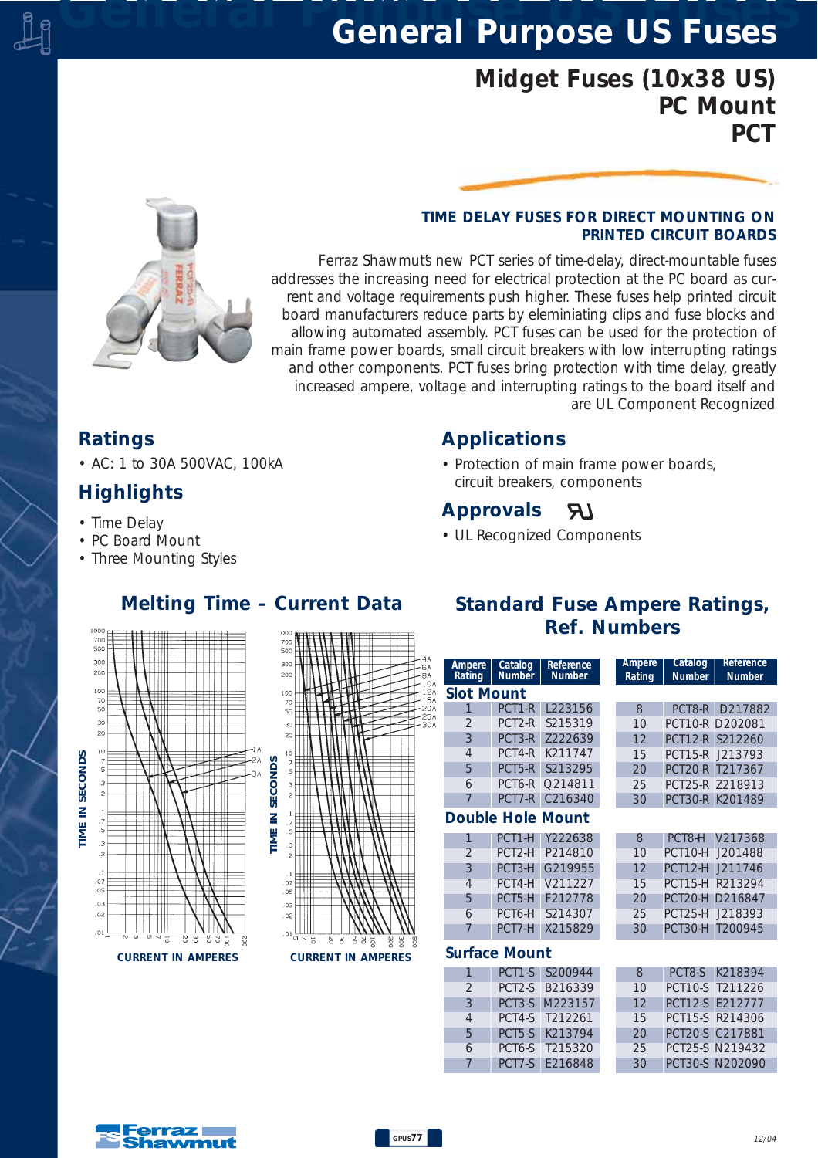## *General Purpose US Fuses General Purpose US Fuses*

## *Midget Fuses (10x38 US) PC Mount PCT*



#### *TIME DELAY FUSES FOR DIRECT MOUNTING ON PRINTED CIRCUIT BOARDS*

*Ferraz Shawmut's new PCT series of time-delay, direct-mountable fuses addresses the increasing need for electrical protection at the PC board as current and voltage requirements push higher. These fuses help printed circuit board manufacturers reduce parts by eleminiating clips and fuse blocks and allowing automated assembly. PCT fuses can be used for the protection of main frame power boards, small circuit breakers with low interrupting ratings and other components. PCT fuses bring protection with time delay, greatly increased ampere, voltage and interrupting ratings to the board itself and are UL Component Recognized*

#### *Ratings*

*• AC: 1 to 30A 500VAC, 100kA*

*Melting Time – Current Data*

### *Highlights*

- *Time Delay*
- *PC Board Mount*
- *Three Mounting Styles*

### *Applications*

*• Protection of main frame power boards, circuit breakers, components*

#### *Approvals*  $\mathcal{H}$

*• UL Recognized Components*

#### $1000$  $700$ <br>500  $\overline{300}$  $200$  $10<sup>°</sup>$  $\overline{\mathcal{L}}$  $5<sup>o</sup>$  $\overline{3}$  $2<sup>c</sup>$ IN SECONDS *TIME IN SECONDS* IN SECONDS TIME<sub>1</sub> TIME I  $.07$  $\alpha$  $.03$  $02$  $\sim$  $\frac{1}{2}$  $\frac{1}{2}$  $999$ *CURRENT IN AMPERES*

|                       | 1000                    |                          |                |    |    |    |    |   |      |     |               |                          |  |
|-----------------------|-------------------------|--------------------------|----------------|----|----|----|----|---|------|-----|---------------|--------------------------|--|
|                       | 700                     |                          |                |    |    |    |    |   |      |     |               |                          |  |
|                       | 500                     |                          |                |    |    |    |    |   |      |     |               |                          |  |
|                       |                         |                          |                |    |    |    |    |   |      |     |               | 4A                       |  |
|                       | 300                     |                          |                |    |    |    |    |   |      |     |               |                          |  |
|                       | 200                     |                          |                |    |    |    |    |   |      |     |               | 6A<br>8A                 |  |
|                       |                         |                          |                |    |    |    |    |   |      |     |               |                          |  |
|                       | 100                     |                          |                |    |    |    |    |   |      |     |               |                          |  |
|                       |                         |                          |                |    |    |    |    |   |      |     |               |                          |  |
|                       | 70                      |                          |                |    |    |    |    |   |      |     |               | 10A<br>12A<br>15A<br>20A |  |
|                       | 50                      |                          |                |    |    |    |    |   |      |     |               |                          |  |
|                       | 30                      |                          |                |    |    |    |    |   |      |     |               | 25A<br>30A               |  |
|                       |                         |                          |                |    |    |    |    |   |      |     |               |                          |  |
|                       | 20                      |                          |                |    |    |    |    |   |      |     |               |                          |  |
|                       |                         |                          |                |    |    |    |    |   |      |     |               |                          |  |
|                       | 10                      |                          |                |    |    |    |    |   |      |     |               |                          |  |
|                       | 7                       |                          |                |    |    |    |    |   |      |     |               |                          |  |
|                       | 5                       |                          |                |    |    |    |    |   |      |     |               |                          |  |
| <b>IME IN SECONDS</b> |                         |                          |                |    |    |    |    |   |      |     |               |                          |  |
|                       | 3                       |                          |                |    |    |    |    |   |      |     |               |                          |  |
|                       | $\overline{c}$          |                          |                |    |    |    |    |   |      |     |               |                          |  |
|                       |                         |                          |                |    |    |    |    |   |      |     |               |                          |  |
|                       | ı                       |                          |                |    |    |    |    |   |      |     |               |                          |  |
|                       | .7                      |                          |                |    |    |    |    |   |      |     |               |                          |  |
|                       | .5                      |                          |                |    |    |    |    |   |      |     |               |                          |  |
|                       |                         |                          |                |    |    |    |    |   |      |     |               |                          |  |
|                       | . 3                     |                          |                |    |    |    |    |   |      |     |               |                          |  |
|                       | $\overline{c}$          |                          |                |    |    |    |    |   |      |     |               |                          |  |
|                       |                         |                          |                |    |    |    |    |   |      |     |               |                          |  |
|                       |                         |                          |                |    |    |    |    |   |      |     |               |                          |  |
|                       | $\cdot$                 |                          |                |    |    |    |    |   |      |     |               |                          |  |
|                       | .07                     |                          |                |    |    |    |    |   |      |     |               |                          |  |
|                       | .05                     |                          |                |    |    |    |    |   |      |     |               |                          |  |
|                       | .03                     |                          |                |    |    |    |    |   |      |     |               |                          |  |
|                       |                         |                          |                |    |    |    |    |   |      |     |               |                          |  |
|                       | .02                     |                          |                |    |    |    |    |   |      |     |               |                          |  |
|                       |                         |                          |                |    |    |    |    |   |      |     |               |                          |  |
|                       | $.01\frac{L}{\sqrt{1}}$ |                          |                |    |    |    |    |   |      |     |               |                          |  |
|                       |                         | $\overline{\phantom{a}}$ | $\overline{5}$ | 20 | 9g | SO | 2Q | ō | 200  | 30C | $rac{1}{200}$ |                          |  |
|                       |                         |                          |                |    |    |    |    |   |      |     |               |                          |  |
|                       |                         |                          | CURREN         |    | ı  | N  | А  |   | ERES |     |               |                          |  |

### *Standard Fuse Ampere Ratings, Ref. Numbers*

| Ampere<br>Rating     | Catalog<br><b>Number</b> | <b>Reference</b><br><b>Number</b> |  | Ampere<br>Rating | <b>Catalog</b><br><b>Number</b> | Reference<br><b>Number</b> |  |  |  |  |  |  |
|----------------------|--------------------------|-----------------------------------|--|------------------|---------------------------------|----------------------------|--|--|--|--|--|--|
| <b>Slot Mount</b>    |                          |                                   |  |                  |                                 |                            |  |  |  |  |  |  |
| 1                    | PCT1-R                   | L223156                           |  | 8                | PCT8-R                          | D217882                    |  |  |  |  |  |  |
| $\mathcal{D}$        | PCT <sub>2-R</sub>       | S215319                           |  | 10               | PCT10-R                         | D202081                    |  |  |  |  |  |  |
| 3                    | PCT3-R                   | 7222639                           |  | 12               | <b>PCT12-R</b>                  | S212260                    |  |  |  |  |  |  |
| $\overline{4}$       | PCT4-R                   | K211747                           |  | 15               | <b>PCT15-R</b>                  | J213793                    |  |  |  |  |  |  |
| 5                    | PCT5-R                   | S213295                           |  | 20               | PCT <sub>20</sub> -R            | T217367                    |  |  |  |  |  |  |
| 6                    | PCT6-R                   | O214811                           |  | 25               | <b>PCT25-R</b>                  | 7218913                    |  |  |  |  |  |  |
| $\overline{7}$       | PCT7-R                   | C216340                           |  | 30               | PCT30-R                         | K201489                    |  |  |  |  |  |  |
| Double Hole Mount    |                          |                                   |  |                  |                                 |                            |  |  |  |  |  |  |
| 1                    | PCT1-H                   | Y222638                           |  | 8                | PCT8-H                          | V217368                    |  |  |  |  |  |  |
| 2                    | PCT <sub>2</sub> -H      | P214810                           |  | 10               | PCT10-H                         | J201488                    |  |  |  |  |  |  |
| 3                    | PCT3-H                   | G219955                           |  | 12               | PCT12-H                         | J211746                    |  |  |  |  |  |  |
| $\overline{4}$       | PCT4-H                   | V211227                           |  | 15               | PCT15-H                         | R213294                    |  |  |  |  |  |  |
| 5                    | PCT5-H                   | F212778                           |  | 20               | PCT <sub>20</sub> -H            | D216847                    |  |  |  |  |  |  |
| 6                    | PCT6-H                   | S214307                           |  | 25               | PCT <sub>25</sub> -H            | J218393                    |  |  |  |  |  |  |
| 7                    | PCT7-H                   | X215829                           |  | 30               | PCT30-H                         | T200945                    |  |  |  |  |  |  |
| <b>Surface Mount</b> |                          |                                   |  |                  |                                 |                            |  |  |  |  |  |  |
| 1                    | PCT1-S                   | S200944                           |  | 8                | PCT8-S                          | K218394                    |  |  |  |  |  |  |
| $\overline{2}$       | PCT <sub>2</sub> -S      | B216339                           |  | 10               | PCT10-S                         | T211226                    |  |  |  |  |  |  |
| 3                    | PCT <sub>3</sub> -S      | M223157                           |  | 12               | <b>PCT12-S</b>                  | F212777                    |  |  |  |  |  |  |
| $\overline{4}$       | PCT4-S                   | T212261                           |  | 15               | <b>PCT15-S</b>                  | R214306                    |  |  |  |  |  |  |
| 5                    | PCT5-S                   | K213794                           |  | 20               | PCT <sub>20</sub> -S            | C217881                    |  |  |  |  |  |  |
| 6                    | PCT6-S                   | T215320                           |  | 25               | PCT <sub>25</sub> -S            | N219432                    |  |  |  |  |  |  |
| 7                    | PCT7-S                   | E216848                           |  | 30               | <b>PCT30-S</b>                  | N202090                    |  |  |  |  |  |  |